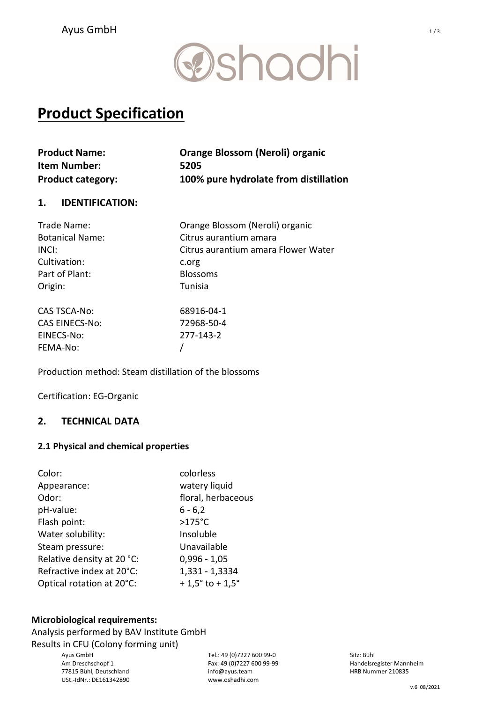## **@shadhi**

### Product Specification

| <b>Product Name:</b>     | <b>Orange Blossom (Neroli) organic</b> |
|--------------------------|----------------------------------------|
| <b>Item Number:</b>      | 5205                                   |
| <b>Product category:</b> | 100% pure hydrolate from distillation  |

#### 1. IDENTIFICATION:

| Trade Name:            | Orange Blossom (Neroli) organic     |
|------------------------|-------------------------------------|
| <b>Botanical Name:</b> | Citrus aurantium amara              |
| INCI:                  | Citrus aurantium amara Flower Water |
| Cultivation:           | c.org                               |
| Part of Plant:         | <b>Blossoms</b>                     |
| Origin:                | Tunisia                             |
| <b>CAS TSCA-No:</b>    | 68916-04-1                          |
| <b>CAS EINECS-No:</b>  | 72968-50-4                          |
| EINECS-No:             | 277-143-2                           |
| FEMA-No:               |                                     |

Production method: Steam distillation of the blossoms

Certification: EG-Organic

#### 2. TECHNICAL DATA

#### 2.1 Physical and chemical properties

| Color:                      | colorless                        |  |  |
|-----------------------------|----------------------------------|--|--|
| Appearance:                 | watery liquid                    |  |  |
| floral, herbaceous<br>Odor: |                                  |  |  |
| pH-value:                   | $6 - 6,2$                        |  |  |
| Flash point:                | $>175^{\circ}$ C                 |  |  |
| Water solubility:           | Insoluble                        |  |  |
| Steam pressure:             | Unavailable                      |  |  |
| Relative density at 20 °C:  | $0,996 - 1,05$                   |  |  |
| Refractive index at 20°C:   | 1,331 - 1,3334                   |  |  |
| Optical rotation at 20°C:   | $+1,5^{\circ}$ to $+1,5^{\circ}$ |  |  |

#### Microbiological requirements:

Analysis performed by BAV Institute GmbH Results in CFU (Colony forming unit)

> Ayus GmbH Am Dreschschopf 1 77815 Bühl, Deutschland USt.-IdNr.: DE161342890

Tel.: 49 (0)7227 600 99-0 Fax: 49 (0)7227 600 99-99 info@ayus.team www.oshadhi.com

Sitz: Bühl Handelsregister Mannheim HRB Nummer 210835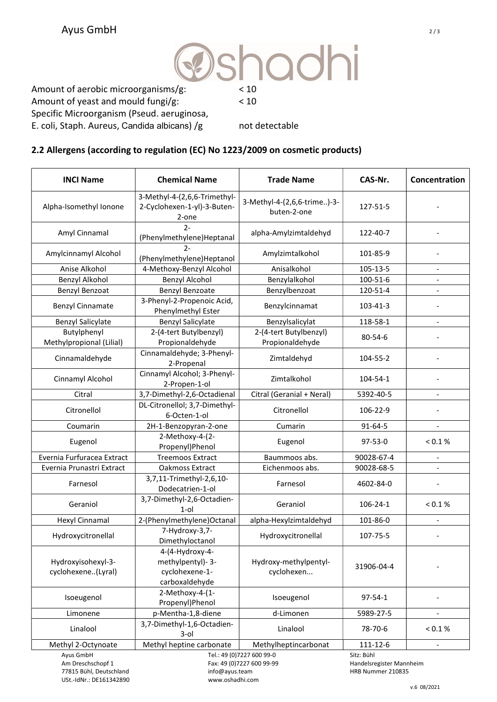# **@shadhi**

Amount of aerobic microorganisms/g: < 10 Amount of yeast and mould fungi/g: < 10 Specific Microorganism (Pseud. aeruginosa, E. coli, Staph. Aureus, Candida albicans) /g not detectable

#### 2.2 Allergens (according to regulation (EC) No 1223/2009 on cosmetic products)

| <b>INCI Name</b>                                                                     | <b>Chemical Name</b>                                                                         | <b>Trade Name</b>                          | CAS-Nr.                                                     | Concentration                |
|--------------------------------------------------------------------------------------|----------------------------------------------------------------------------------------------|--------------------------------------------|-------------------------------------------------------------|------------------------------|
| Alpha-Isomethyl Ionone                                                               | 3-Methyl-4-(2,6,6-Trimethyl-<br>2-Cyclohexen-1-yl)-3-Buten-<br>2-one                         | 3-Methyl-4-(2,6,6-trime)-3-<br>buten-2-one | 127-51-5                                                    |                              |
| Amyl Cinnamal                                                                        | $2 -$<br>(Phenylmethylene)Heptanal                                                           | alpha-Amylzimtaldehyd                      | 122-40-7                                                    |                              |
| Amylcinnamyl Alcohol                                                                 | $2 -$<br>(Phenylmethylene) Heptanol                                                          | Amylzimtalkohol                            | 101-85-9                                                    |                              |
| Anise Alkohol                                                                        | 4-Methoxy-Benzyl Alcohol                                                                     | Anisalkohol                                | 105-13-5                                                    | $\overline{\phantom{a}}$     |
| Benzyl Alkohol                                                                       | <b>Benzyl Alcohol</b>                                                                        | Benzylalkohol                              | 100-51-6                                                    |                              |
| Benzyl Benzoat                                                                       | Benzyl Benzoate                                                                              | Benzylbenzoat                              | 120-51-4                                                    |                              |
| <b>Benzyl Cinnamate</b>                                                              | 3-Phenyl-2-Propenoic Acid,<br>Phenylmethyl Ester                                             | Benzylcinnamat                             | 103-41-3                                                    |                              |
| <b>Benzyl Salicylate</b>                                                             | <b>Benzyl Salicylate</b>                                                                     | Benzylsalicylat                            | 118-58-1                                                    | $\blacksquare$               |
| Butylphenyl<br>Methylpropional (Lilial)                                              | 2-(4-tert Butylbenzyl)<br>Propionaldehyde                                                    | 2-(4-tert Butylbenzyl)<br>Propionaldehyde  | $80 - 54 - 6$                                               |                              |
| Cinnamaldehyde                                                                       | Cinnamaldehyde; 3-Phenyl-<br>2-Propenal                                                      | Zimtaldehyd                                | 104-55-2                                                    |                              |
| Cinnamyl Alcohol                                                                     | Cinnamyl Alcohol; 3-Phenyl-<br>2-Propen-1-ol                                                 | Zimtalkohol                                | 104-54-1                                                    |                              |
| Citral                                                                               | 3,7-Dimethyl-2,6-Octadienal                                                                  | Citral (Geranial + Neral)                  | 5392-40-5                                                   | $\blacksquare$               |
| Citronellol                                                                          | DL-Citronellol; 3,7-Dimethyl-<br>6-Octen-1-ol                                                | Citronellol                                | 106-22-9                                                    |                              |
| Coumarin                                                                             | 2H-1-Benzopyran-2-one                                                                        | Cumarin                                    | 91-64-5                                                     | $\overline{\phantom{a}}$     |
| Eugenol                                                                              | 2-Methoxy-4-(2-<br>Propenyl)Phenol                                                           | Eugenol                                    | $97 - 53 - 0$                                               | < 0.1 %                      |
| Evernia Furfuracea Extract                                                           | <b>Treemoos Extract</b>                                                                      | Baummoos abs.                              | 90028-67-4                                                  |                              |
| Evernia Prunastri Extract                                                            | Oakmoss Extract                                                                              | Eichenmoos abs.                            | 90028-68-5                                                  |                              |
| Farnesol                                                                             | 3,7,11-Trimethyl-2,6,10-<br>Dodecatrien-1-ol                                                 | Farnesol                                   | 4602-84-0                                                   |                              |
| Geraniol                                                                             | 3,7-Dimethyl-2,6-Octadien-<br>$1$ -ol                                                        | Geraniol                                   | 106-24-1                                                    | < 0.1 %                      |
| Hexyl Cinnamal                                                                       | 2-(Phenylmethylene)Octanal                                                                   | alpha-Hexylzimtaldehyd                     | 101-86-0                                                    | -                            |
| Hydroxycitronellal                                                                   | 7-Hydroxy-3,7-<br>Dimethyloctanol                                                            | Hydroxycitronellal                         | 107-75-5                                                    |                              |
| Hydroxyisohexyl-3-<br>cyclohexene(Lyral)                                             | 4-(4-Hydroxy-4-<br>methylpentyl)-3-<br>cyclohexene-1-<br>carboxaldehyde                      | Hydroxy-methylpentyl-<br>cyclohexen        | 31906-04-4                                                  |                              |
| Isoeugenol                                                                           | 2-Methoxy-4-(1-<br>Propenyl)Phenol                                                           | Isoeugenol                                 | $97 - 54 - 1$                                               |                              |
| Limonene                                                                             | p-Mentha-1,8-diene                                                                           | d-Limonen                                  | 5989-27-5                                                   |                              |
| Linalool                                                                             | 3,7-Dimethyl-1,6-Octadien-<br>$3$ -ol                                                        | Linalool                                   | 78-70-6                                                     | $0.1\%$                      |
| Methyl 2-Octynoate                                                                   | Methyl heptine carbonate                                                                     | Methylheptincarbonat                       | 111-12-6                                                    | $\qquad \qquad \blacksquare$ |
| Ayus GmbH<br>Am Dreschschopf 1<br>77815 Bühl, Deutschland<br>USt.-IdNr.: DE161342890 | Tel.: 49 (0)7227 600 99-0<br>Fax: 49 (0) 7227 600 99-99<br>info@ayus.team<br>www.oshadhi.com |                                            | Sitz: Bühl<br>Handelsregister Mannheim<br>HRB Nummer 210835 |                              |